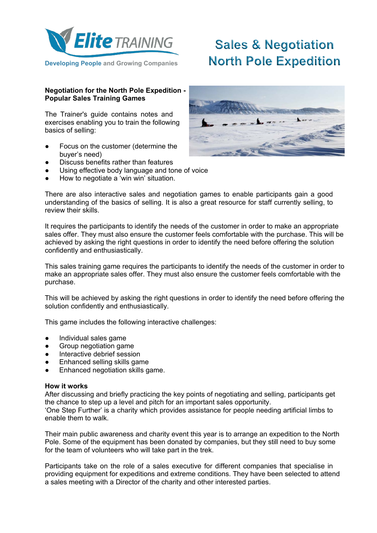

# **Sales & Negotiation North Pole Expedition**

# **Negotiation for the North Pole Expedition - Popular Sales Training Games**

The Trainer's guide contains notes and exercises enabling you to train the following basics of selling:

- Focus on the customer (determine the buyer's need)
- Discuss benefits rather than features
- Using effective body language and tone of voice
- How to negotiate a 'win win' situation.

There are also interactive sales and negotiation games to enable participants gain a good understanding of the basics of selling. It is also a great resource for staff currently selling, to review their skills.

It requires the participants to identify the needs of the customer in order to make an appropriate sales offer. They must also ensure the customer feels comfortable with the purchase. This will be achieved by asking the right questions in order to identify the need before offering the solution confidently and enthusiastically.

This sales training game requires the participants to identify the needs of the customer in order to make an appropriate sales offer. They must also ensure the customer feels comfortable with the purchase.

This will be achieved by asking the right questions in order to identify the need before offering the solution confidently and enthusiastically.

This game includes the following interactive challenges:

- Individual sales game
- **•** Group negotiation game
- Interactive debrief session
- Enhanced selling skills game
- Enhanced negotiation skills game.

### **How it works**

After discussing and briefly practicing the key points of negotiating and selling, participants get the chance to step up a level and pitch for an important sales opportunity.

'One Step Further' is a charity which provides assistance for people needing artificial limbs to enable them to walk.

Their main public awareness and charity event this year is to arrange an expedition to the North Pole. Some of the equipment has been donated by companies, but they still need to buy some for the team of volunteers who will take part in the trek.

Participants take on the role of a sales executive for different companies that specialise in providing equipment for expeditions and extreme conditions. They have been selected to attend a sales meeting with a Director of the charity and other interested parties.

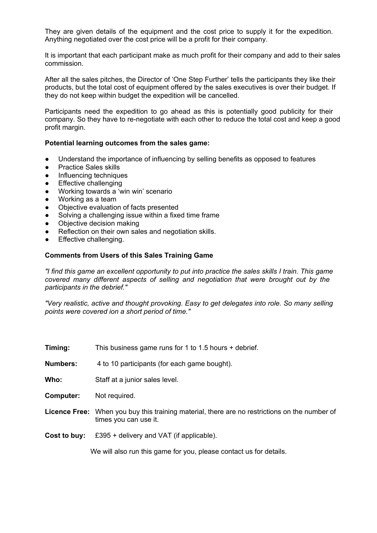They are given details of the equipment and the cost price to supply it for the expedition. Anything negotiated over the cost price will be a profit for their company.

It is important that each participant make as much profit for their company and add to their sales commission.

After all the sales pitches, the Director of 'One Step Further' tells the participants they like their products, but the total cost of equipment offered by the sales executives is over their budget. If they do not keep within budget the expedition will be cancelled.

Participants need the expedition to go ahead as this is potentially good publicity for their company. So they have to re-negotiate with each other to reduce the total cost and keep a good profit margin.

## **Potential learning outcomes from the sales game:**

- Understand the importance of influencing by selling benefits as opposed to features
- Practice Sales skills
- Influencing techniques
- Effective challenging
- Working towards a 'win win' scenario
- Working as a team
- Objective evaluation of facts presented
- Solving a challenging issue within a fixed time frame
- Objective decision making
- Reflection on their own sales and negotiation skills.
- Effective challenging.

### **Comments from Users of this Sales Training Game**

*"I find this game an excellent opportunity to put into practice the sales skills I train. This game covered many different aspects of selling and negotiation that were brought out by the participants in the debrief."*

*"Very realistic, active and thought provoking. Easy to get delegates into role. So many selling points were covered ion a short period of time."*

| Timing: | This business game runs for 1 to 1.5 hours + debrief. |
|---------|-------------------------------------------------------|
|---------|-------------------------------------------------------|

**Numbers:** 4 to 10 participants (for each game bought).

**Who:** Staff at a junior sales level.

**Computer:** Not required.

- **Licence Free:** When you buy this training material, there are no restrictions on the number of times you can use it.
- **Cost to buy:** £395 + delivery and VAT (if applicable).

We will also run this game for you, please contact us for details.